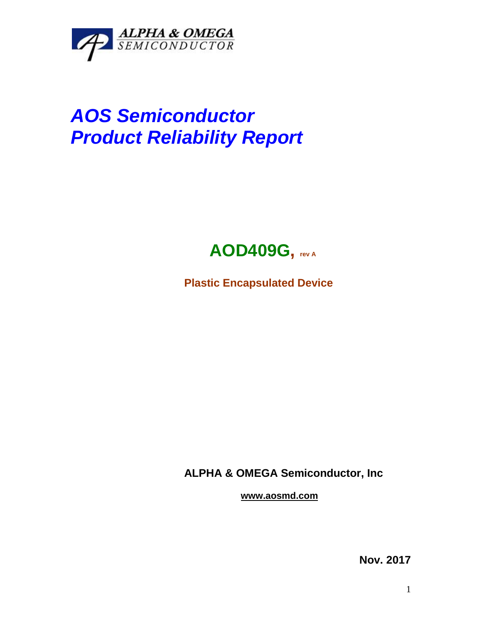

## *AOS Semiconductor Product Reliability Report*



**Plastic Encapsulated Device**

**ALPHA & OMEGA Semiconductor, Inc**

**www.aosmd.com**

**Nov. 2017**